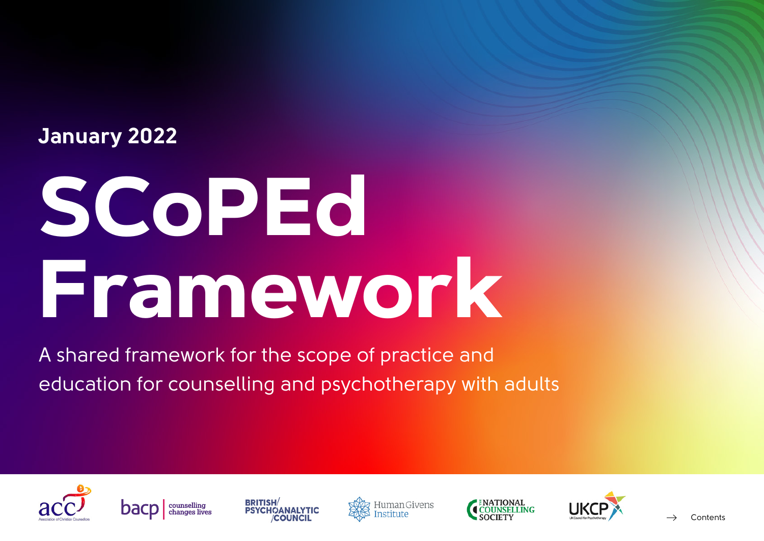### **January 2022**

# **SCoPEd Framework**

A shared framework for the scope of practice and education for counselling and psychotherapy with adults











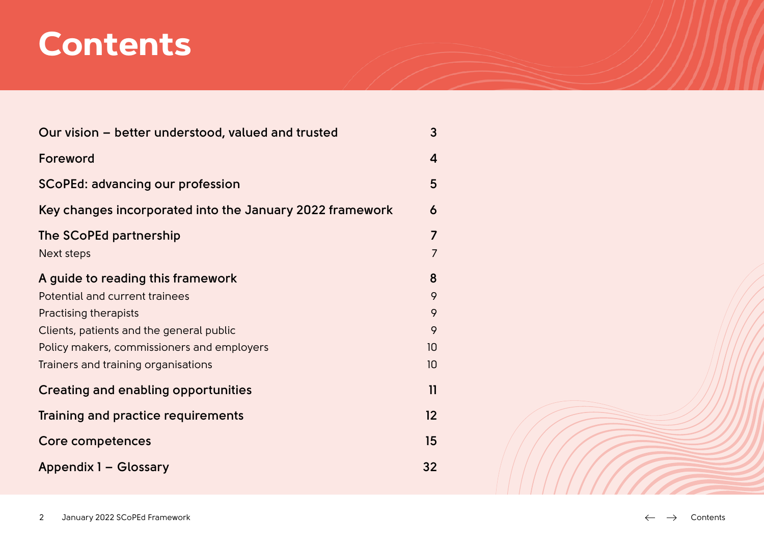### **Contents**

| Our vision – better understood, valued and trusted       | 3              |
|----------------------------------------------------------|----------------|
| Foreword                                                 | 4              |
| <b>SCoPEd: advancing our profession</b>                  | 5              |
| Key changes incorporated into the January 2022 framework | 6              |
| The SCoPEd partnership                                   | $\overline{7}$ |
| Next steps                                               | $\overline{7}$ |
| A guide to reading this framework                        | 8              |
| Potential and current trainees                           | 9              |
| Practising therapists                                    | 9              |
| Clients, patients and the general public                 | 9              |
| Policy makers, commissioners and employers               | 10             |
| Trainers and training organisations                      | 10             |
| <b>Creating and enabling opportunities</b>               | $\mathbf{1}$   |
| Training and practice requirements                       | 12             |
| <b>Core competences</b>                                  | 15             |
| Appendix 1 - Glossary                                    | 32             |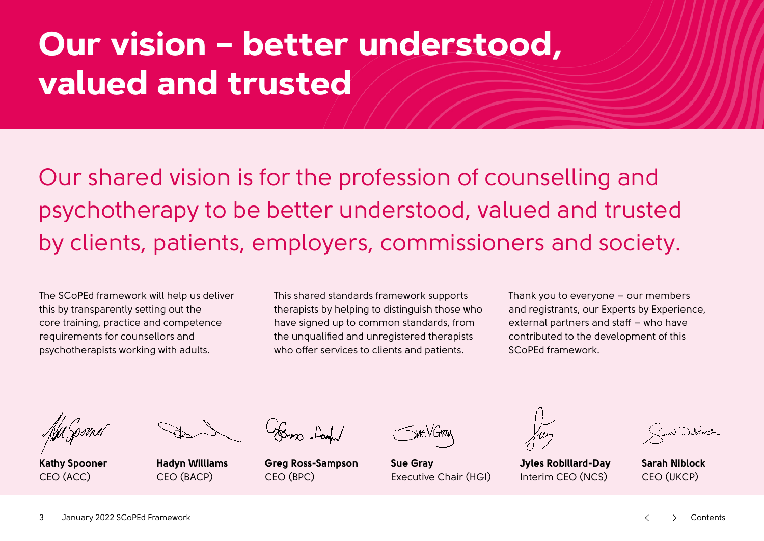# <span id="page-2-0"></span>**Our vision – better understood, valued and trusted**

Our shared vision is for the profession of counselling and psychotherapy to be better understood, valued and trusted by clients, patients, employers, commissioners and society.

The SCoPEd framework will help us deliver this by transparently setting out the core training, practice and competence requirements for counsellors and psychotherapists working with adults.

This shared standards framework supports therapists by helping to distinguish those who have signed up to common standards, from the unqualified and unregistered therapists who offer services to clients and patients.

Thank you to everyone – our members and registrants, our Experts by Experience, external partners and staff – who have contributed to the development of this SCoPEd framework.

**Kathy Spooner** CEO (ACC)

**Hadyn Williams** CEO (BACP)

Buss-Danh

**Greg Ross-Sampson** CEO (BPC)

**Sue Gray**  Executive Chair (HGI)

**Jyles Robillard-Day** Interim CEO (NCS)

 $\gtrsim 0.0$  where  $\gtrsim$ 

**Sarah Niblock** CEO (UKCP)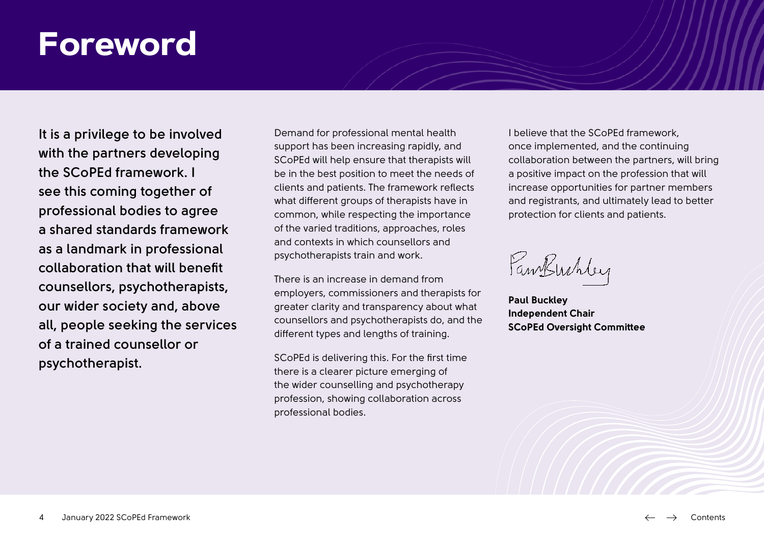### <span id="page-3-0"></span>**Foreword**

**It is a privilege to be involved with the partners developing the SCoPEd framework. I see this coming together of professional bodies to agree a shared standards framework as a landmark in professional collaboration that will benefit counsellors, psychotherapists, our wider society and, above all, people seeking the services of a trained counsellor or psychotherapist.**

Demand for professional mental health support has been increasing rapidly, and SCoPEd will help ensure that therapists will be in the best position to meet the needs of clients and patients. The framework reflects what different groups of therapists have in common, while respecting the importance of the varied traditions, approaches, roles and contexts in which counsellors and psychotherapists train and work.

There is an increase in demand from employers, commissioners and therapists for greater clarity and transparency about what counsellors and psychotherapists do, and the different types and lengths of training.

SCoPEd is delivering this. For the first time there is a clearer picture emerging of the wider counselling and psychotherapy profession, showing collaboration across professional bodies.

I believe that the SCoPEd framework, once implemented, and the continuing collaboration between the partners, will bring a positive impact on the profession that will increase opportunities for partner members and registrants, and ultimately lead to better protection for clients and patients.

FamBuchley

**Paul Buckley Independent Chair SCoPEd Oversight Committee**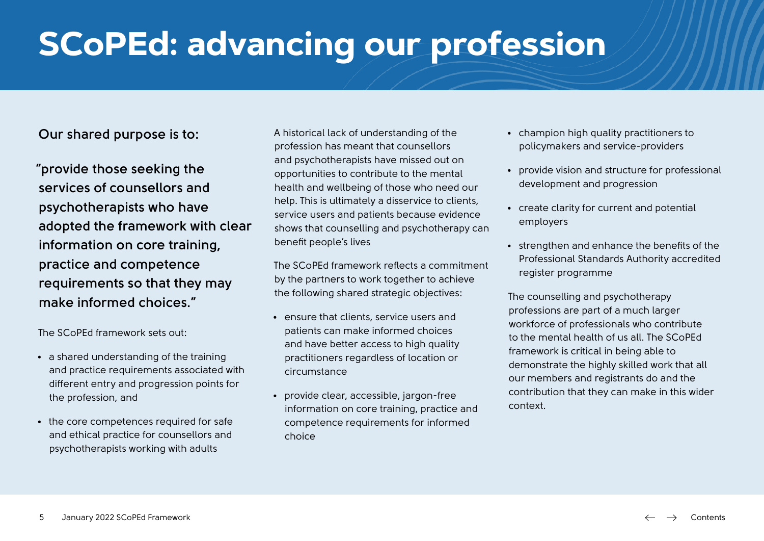# <span id="page-4-0"></span>**SCoPEd: advancing our profession**

**Our shared purpose is to:**

**"provide those seeking the services of counsellors and psychotherapists who have adopted the framework with clear information on core training, practice and competence requirements so that they may make informed choices."**

The SCoPEd framework sets out:

- a shared understanding of the training and practice requirements associated with different entry and progression points for the profession, and
- the core competences required for safe and ethical practice for counsellors and psychotherapists working with adults

A historical lack of understanding of the profession has meant that counsellors and psychotherapists have missed out on opportunities to contribute to the mental health and wellbeing of those who need our help. This is ultimately a disservice to clients, service users and patients because evidence shows that counselling and psychotherapy can benefit people's lives

The SCoPEd framework reflects a commitment by the partners to work together to achieve the following shared strategic objectives:

- ensure that clients, service users and patients can make informed choices and have better access to high quality practitioners regardless of location or circumstance
- provide clear, accessible, jargon-free information on core training, practice and competence requirements for informed choice
- champion high quality practitioners to policymakers and service-providers
- provide vision and structure for professional development and progression
- create clarity for current and potential employers
- strengthen and enhance the benefits of the Professional Standards Authority accredited register programme

The counselling and psychotherapy professions are part of a much larger workforce of professionals who contribute to the mental health of us all. The SCoPEd framework is critical in being able to demonstrate the highly skilled work that all our members and registrants do and the contribution that they can make in this wider context.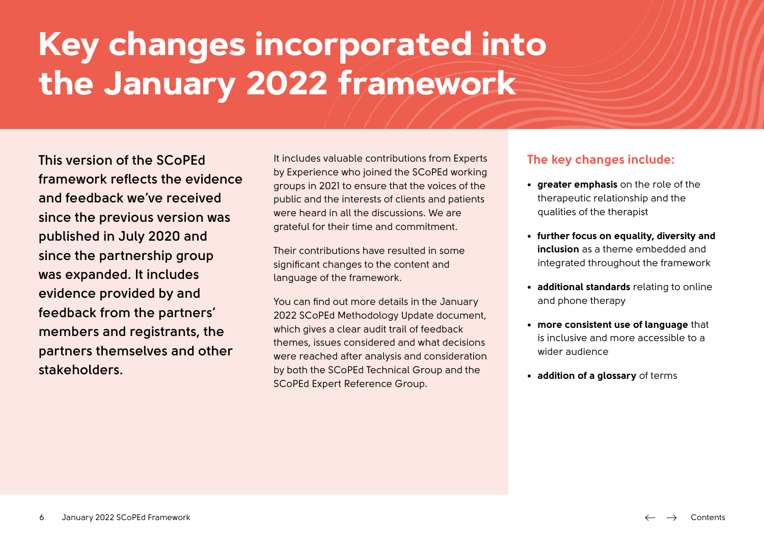# <span id="page-5-0"></span>**Key changes incorporated into the January 2022 framework**

**This version of the SCoPEd framework reflects the evidence and feedback we've received since the previous version was published in July 2020 and since the partnership group was expanded. It includes evidence provided by and feedback from the partners' members and registrants, the partners themselves and other stakeholders.** 

It includes valuable contributions from Experts by Experience who joined the SCoPEd working groups in 2021 to ensure that the voices of the public and the interests of clients and patients were heard in all the discussions. We are grateful for their time and commitment.

Their contributions have resulted in some significant changes to the content and language of the framework.

You can find out more details in the January 2022 SCoPEd Methodology Update document, which gives a clear audit trail of feedback themes, issues considered and what decisions were reached after analysis and consideration by both the SCoPEd Technical Group and the SCoPEd Expert Reference Group.

#### **The key changes include:**

- **• greater emphasis** on the role of the therapeutic relationship and the qualities of the therapist
- **• further focus on equality, diversity and inclusion** as a theme embedded and integrated throughout the framework
- **• additional standards** relating to online and phone therapy
- **• more consistent use of language** that is inclusive and more accessible to a wider audience
- **• addition of a glossary** of terms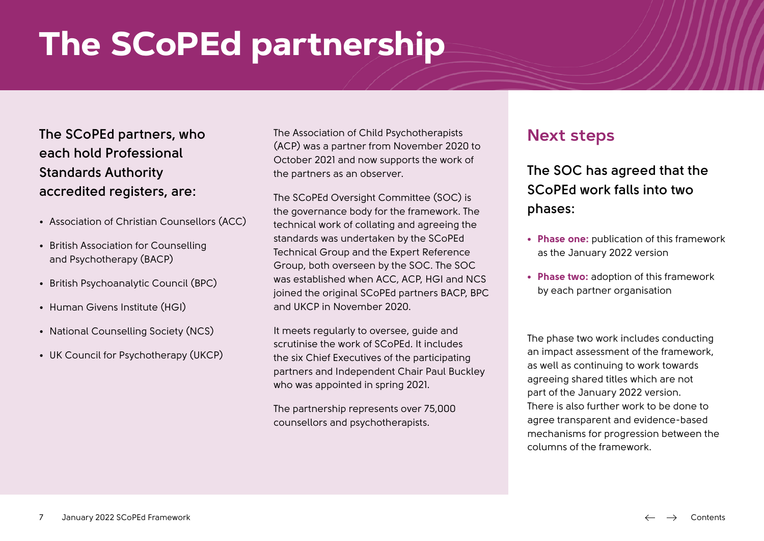# <span id="page-6-0"></span>**The SCoPEd partnership**

**The SCoPEd partners, who each hold Professional Standards Authority accredited registers, are:**

- Association of Christian Counsellors (ACC)
- British Association for Counselling and Psychotherapy (BACP)
- British Psychoanalytic Council (BPC)
- Human Givens Institute (HGI)
- National Counselling Society (NCS)
- UK Council for Psychotherapy (UKCP)

The Association of Child Psychotherapists (ACP) was a partner from November 2020 to October 2021 and now supports the work of the partners as an observer.

The SCoPEd Oversight Committee (SOC) is the governance body for the framework. The technical work of collating and agreeing the standards was undertaken by the SCoPEd Technical Group and the Expert Reference Group, both overseen by the SOC. The SOC was established when ACC, ACP, HGI and NCS joined the original SCoPEd partners BACP, BPC and UKCP in November 2020.

It meets regularly to oversee, guide and scrutinise the work of SCoPEd. It includes the six Chief Executives of the participating partners and Independent Chair Paul Buckley who was appointed in spring 2021.

The partnership represents over 75,000 counsellors and psychotherapists.

### **Next steps**

**The SOC has agreed that the SCoPEd work falls into two phases:** 

- **• Phase one:** publication of this framework as the January 2022 version
- **• Phase two:** adoption of this framework by each partner organisation

The phase two work includes conducting an impact assessment of the framework, as well as continuing to work towards agreeing shared titles which are not part of the January 2022 version. There is also further work to be done to agree transparent and evidence-based mechanisms for progression between the columns of the framework.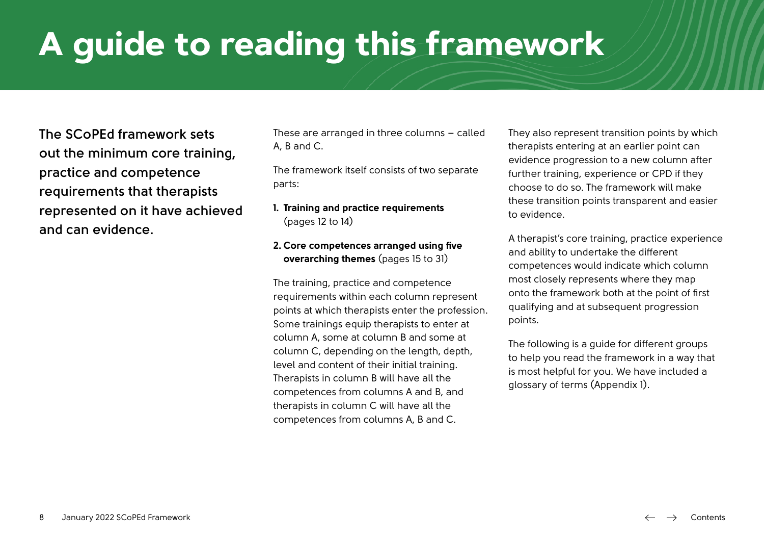# <span id="page-7-0"></span>**A guide to reading this framework**

**The SCoPEd framework sets out the minimum core training, practice and competence requirements that therapists represented on it have achieved and can evidence.**

These are arranged in three columns – called A, B and C.

The framework itself consists of two separate parts:

#### **1. Training and practice requirements** (pages 12 to 14)

#### **2. Core competences arranged using five overarching themes** (pages 15 to 31)

The training, practice and competence requirements within each column represent points at which therapists enter the profession. Some trainings equip therapists to enter at column A, some at column B and some at column C, depending on the length, depth, level and content of their initial training. Therapists in column B will have all the competences from columns A and B, and therapists in column C will have all the competences from columns A, B and C.

They also represent transition points by which therapists entering at an earlier point can evidence progression to a new column after further training, experience or CPD if they choose to do so. The framework will make these transition points transparent and easier to evidence.

A therapist's core training, practice experience and ability to undertake the different competences would indicate which column most closely represents where they map onto the framework both at the point of first qualifying and at subsequent progression points.

The following is a guide for different groups to help you read the framework in a way that is most helpful for you. We have included a glossary of terms (Appendix 1).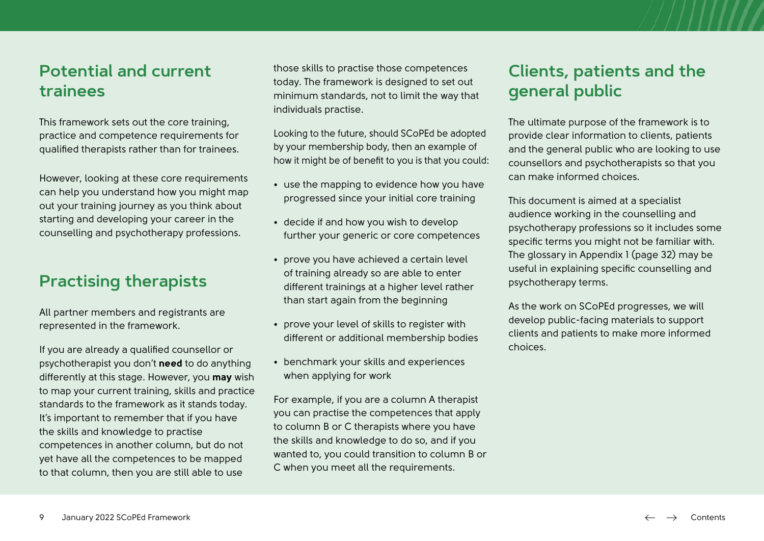### <span id="page-8-0"></span>**Potential and current trainees**

This framework sets out the core training, practice and competence requirements for qualified therapists rather than for trainees.

However, looking at these core requirements can help you understand how you might map out your training journey as you think about starting and developing your career in the counselling and psychotherapy professions.

### **Practising therapists**

All partner members and registrants are represented in the framework.

If you are already a qualified counsellor or psychotherapist you don't **need** to do anything differently at this stage. However, you **may** wish to map your current training, skills and practice standards to the framework as it stands today. It's important to remember that if you have the skills and knowledge to practise competences in another column, but do not yet have all the competences to be mapped to that column, then you are still able to use

those skills to practise those competences today. The framework is designed to set out minimum standards, not to limit the way that individuals practise.

Looking to the future, should SCoPEd be adopted by your membership body, then an example of how it might be of benefit to you is that you could:

- use the mapping to evidence how you have progressed since your initial core training
- decide if and how you wish to develop further your generic or core competences
- prove you have achieved a certain level of training already so are able to enter different trainings at a higher level rather than start again from the beginning
- prove your level of skills to register with different or additional membership bodies
- benchmark your skills and experiences when applying for work

For example, if you are a column A therapist you can practise the competences that apply to column B or C therapists where you have the skills and knowledge to do so, and if you wanted to, you could transition to column B or C when you meet all the requirements.

### **Clients, patients and the general public**

The ultimate purpose of the framework is to provide clear information to clients, patients and the general public who are looking to use counsellors and psychotherapists so that you can make informed choices.

This document is aimed at a specialist audience working in the counselling and psychotherapy professions so it includes some specific terms you might not be familiar with. The glossary in Appendix 1 (page 32) may be useful in explaining specific counselling and psychotherapy terms.

As the work on SCoPEd progresses, we will develop public-facing materials to support clients and patients to make more informed choices.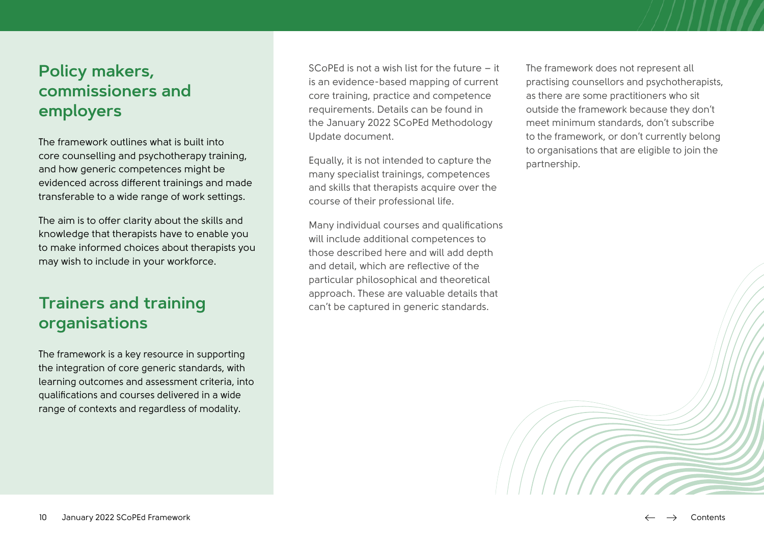### <span id="page-9-0"></span>**Policy makers, commissioners and employers**

The framework outlines what is built into core counselling and psychotherapy training, and how generic competences might be evidenced across different trainings and made transferable to a wide range of work settings.

The aim is to offer clarity about the skills and knowledge that therapists have to enable you to make informed choices about therapists you may wish to include in your workforce.

### **Trainers and training organisations**

The framework is a key resource in supporting the integration of core generic standards, with learning outcomes and assessment criteria, into qualifications and courses delivered in a wide range of contexts and regardless of modality.

SCoPEd is not a wish list for the future – it is an evidence-based mapping of current core training, practice and competence requirements. Details can be found in the January 2022 SCoPEd Methodology Update document.

Equally, it is not intended to capture the many specialist trainings, competences and skills that therapists acquire over the course of their professional life.

Many individual courses and qualifications will include additional competences to those described here and will add depth and detail, which are reflective of the particular philosophical and theoretical approach. These are valuable details that can't be captured in generic standards.

The framework does not represent all practising counsellors and psychotherapists, as there are some practitioners who sit outside the framework because they don't meet minimum standards, don't subscribe to the framework, or don't currently belong to organisations that are eligible to join the partnership.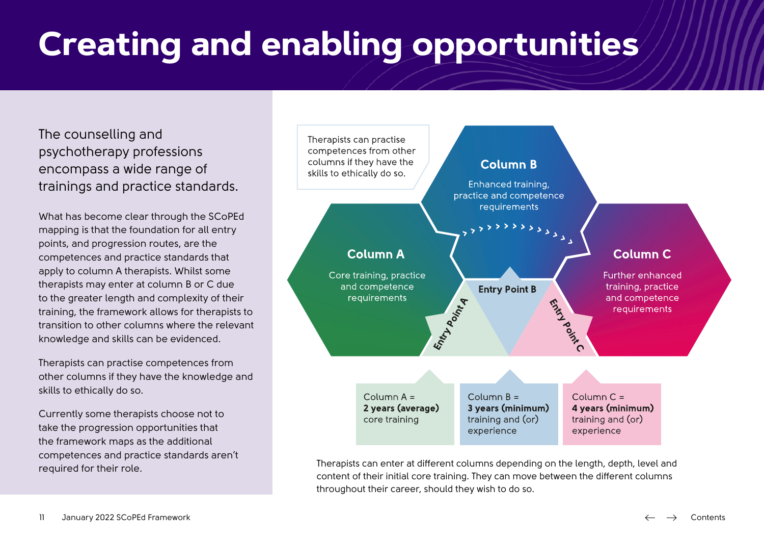# <span id="page-10-0"></span>**Creating and enabling opportunities**

The counselling and psychotherapy professions encompass a wide range of trainings and practice standards.

What has become clear through the SCoPEd mapping is that the foundation for all entry points, and progression routes, are the competences and practice standards that apply to column A therapists. Whilst some therapists may enter at column B or C due to the greater length and complexity of their training, the framework allows for therapists to transition to other columns where the relevant knowledge and skills can be evidenced.

Therapists can practise competences from other columns if they have the knowledge and skills to ethically do so.

Currently some therapists choose not to take the progression opportunities that the framework maps as the additional competences and practice standards aren't required for their role.



Therapists can enter at different columns depending on the length, depth, level and content of their initial core training. They can move between the different columns throughout their career, should they wish to do so.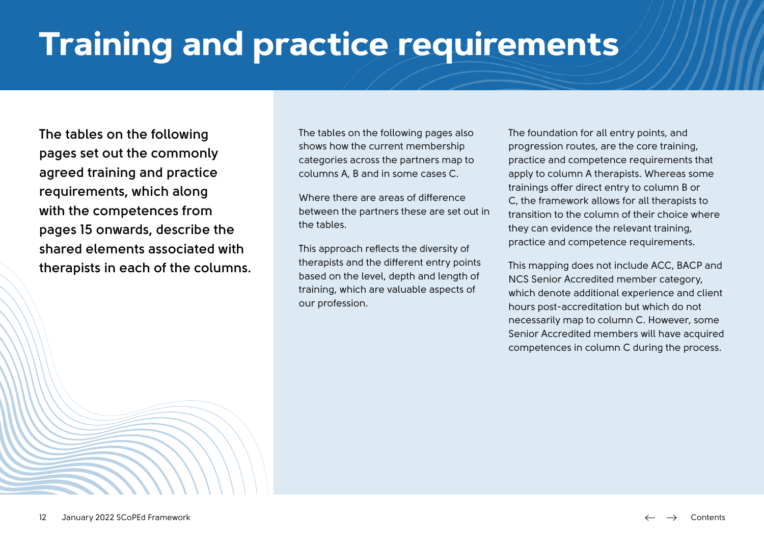# <span id="page-11-0"></span>**Training and practice requirements**

**The tables on the following pages set out the commonly agreed training and practice requirements, which along with the competences from pages 15 onwards, describe the shared elements associated with therapists in each of the columns.** The tables on the following pages also shows how the current membership categories across the partners map to columns A, B and in some cases C.

Where there are areas of difference between the partners these are set out in the tables.

This approach reflects the diversity of therapists and the different entry points based on the level, depth and length of training, which are valuable aspects of our profession.

The foundation for all entry points, and progression routes, are the core training, practice and competence requirements that apply to column A therapists. Whereas some trainings offer direct entry to column B or C, the framework allows for all therapists to transition to the column of their choice where they can evidence the relevant training, practice and competence requirements.

This mapping does not include ACC, BACP and NCS Senior Accredited member category, which denote additional experience and client hours post-accreditation but which do not necessarily map to column C. However, some Senior Accredited members will have acquired competences in column C during the process.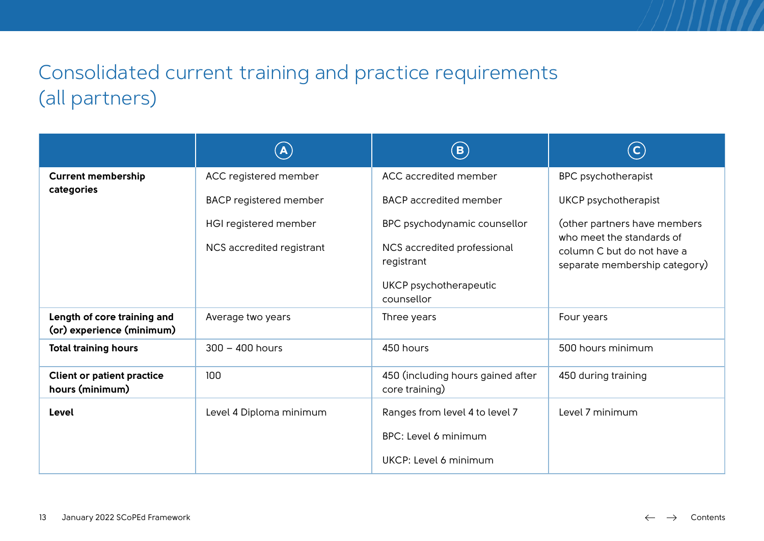### Consolidated current training and practice requirements (all partners)

|                                                          | $\left( {\bf{A}} \right)$     | $\bf (B)$                                           | $(\mathsf{c})$                                                                           |
|----------------------------------------------------------|-------------------------------|-----------------------------------------------------|------------------------------------------------------------------------------------------|
| <b>Current membership</b>                                | ACC registered member         | ACC accredited member                               | <b>BPC</b> psychotherapist                                                               |
| categories                                               | <b>BACP</b> registered member | <b>BACP</b> accredited member                       | <b>UKCP</b> psychotherapist                                                              |
|                                                          | HGI registered member         | BPC psychodynamic counsellor                        | (other partners have members                                                             |
|                                                          | NCS accredited registrant     | NCS accredited professional<br>registrant           | who meet the standards of<br>column C but do not have a<br>separate membership category) |
|                                                          |                               | UKCP psychotherapeutic<br>counsellor                |                                                                                          |
| Length of core training and<br>(or) experience (minimum) | Average two years             | Three years                                         | Four years                                                                               |
| <b>Total training hours</b>                              | $300 - 400$ hours             | 450 hours                                           | 500 hours minimum                                                                        |
| <b>Client or patient practice</b><br>hours (minimum)     | 100                           | 450 (including hours gained after<br>core training) | 450 during training                                                                      |
| Level                                                    | Level 4 Diploma minimum       | Ranges from level 4 to level 7                      | Level 7 minimum                                                                          |
|                                                          |                               | <b>BPC: Level 6 minimum</b>                         |                                                                                          |
|                                                          |                               | UKCP: Level 6 minimum                               |                                                                                          |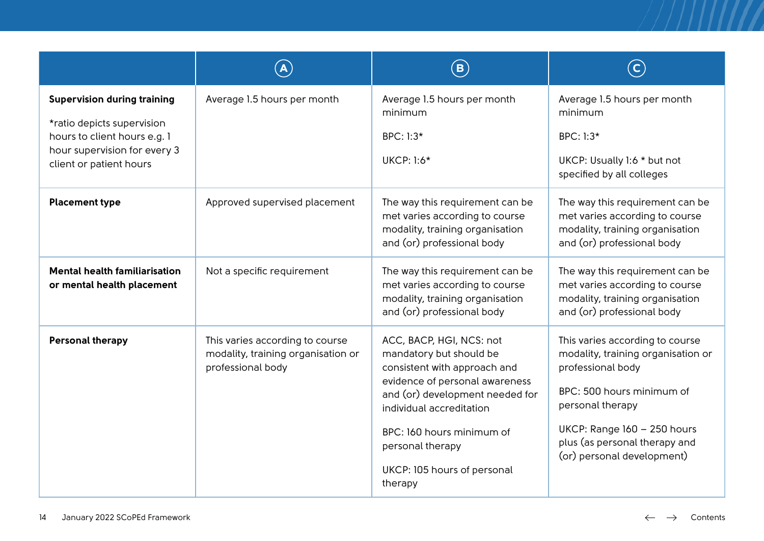|                                                                                                                                                             |                                                                                            | $\left( \mathbf{B}\right)$                                                                                                                                                                                                                                                      |                                                                                                                                                                                                                                           |
|-------------------------------------------------------------------------------------------------------------------------------------------------------------|--------------------------------------------------------------------------------------------|---------------------------------------------------------------------------------------------------------------------------------------------------------------------------------------------------------------------------------------------------------------------------------|-------------------------------------------------------------------------------------------------------------------------------------------------------------------------------------------------------------------------------------------|
| <b>Supervision during training</b><br>*ratio depicts supervision<br>hours to client hours e.g. 1<br>hour supervision for every 3<br>client or patient hours | Average 1.5 hours per month                                                                | Average 1.5 hours per month<br>minimum<br>BPC: 1:3*<br><b>UKCP: 1:6*</b>                                                                                                                                                                                                        | Average 1.5 hours per month<br>minimum<br>BPC: 1:3*<br>UKCP: Usually 1:6 * but not<br>specified by all colleges                                                                                                                           |
| <b>Placement type</b>                                                                                                                                       | Approved supervised placement                                                              | The way this requirement can be<br>met varies according to course<br>modality, training organisation<br>and (or) professional body                                                                                                                                              | The way this requirement can be<br>met varies according to course<br>modality, training organisation<br>and (or) professional body                                                                                                        |
| <b>Mental health familiarisation</b><br>or mental health placement                                                                                          | Not a specific requirement                                                                 | The way this requirement can be<br>met varies according to course<br>modality, training organisation<br>and (or) professional body                                                                                                                                              | The way this requirement can be<br>met varies according to course<br>modality, training organisation<br>and (or) professional body                                                                                                        |
| <b>Personal therapy</b>                                                                                                                                     | This varies according to course<br>modality, training organisation or<br>professional body | ACC, BACP, HGI, NCS: not<br>mandatory but should be<br>consistent with approach and<br>evidence of personal awareness<br>and (or) development needed for<br>individual accreditation<br>BPC: 160 hours minimum of<br>personal therapy<br>UKCP: 105 hours of personal<br>therapy | This varies according to course<br>modality, training organisation or<br>professional body<br>BPC: 500 hours minimum of<br>personal therapy<br>UKCP: Range 160 - 250 hours<br>plus (as personal therapy and<br>(or) personal development) |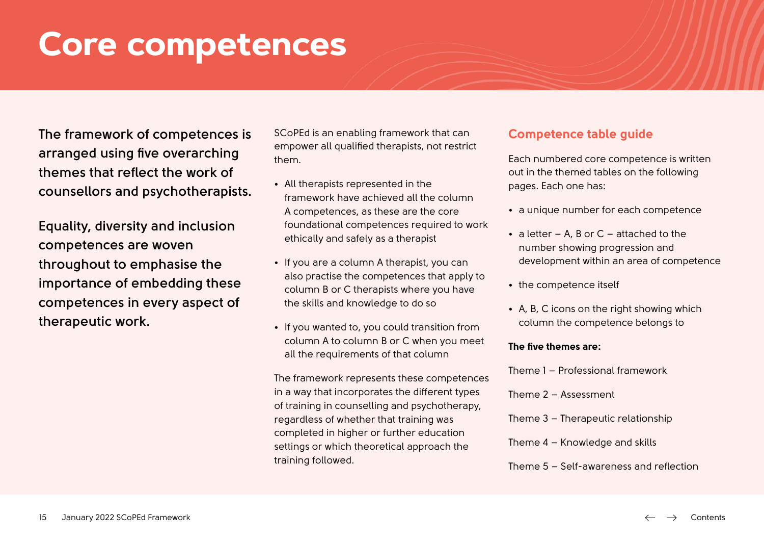## <span id="page-14-0"></span>**Core competences**

**The framework of competences is arranged using five overarching themes that reflect the work of counsellors and psychotherapists.**

**Equality, diversity and inclusion competences are woven throughout to emphasise the importance of embedding these competences in every aspect of therapeutic work.** 

SCoPEd is an enabling framework that can empower all qualified therapists, not restrict them.

- All therapists represented in the framework have achieved all the column A competences, as these are the core foundational competences required to work ethically and safely as a therapist
- If you are a column A therapist, you can also practise the competences that apply to column B or C therapists where you have the skills and knowledge to do so
- If you wanted to, you could transition from column A to column B or C when you meet all the requirements of that column

The framework represents these competences in a way that incorporates the different types of training in counselling and psychotherapy, regardless of whether that training was completed in higher or further education settings or which theoretical approach the training followed.

#### **Competence table guide**

Each numbered core competence is written out in the themed tables on the following pages. Each one has:

- a unique number for each competence
- $\bullet$  a letter A, B or C attached to the number showing progression and development within an area of competence
- the competence itself
- A, B, C icons on the right showing which column the competence belongs to

#### **The five themes are:**

Theme 1 – Professional framework Theme 2 – Assessment Theme 3 – Therapeutic relationship Theme 4 – Knowledge and skills Theme 5 – Self-awareness and reflection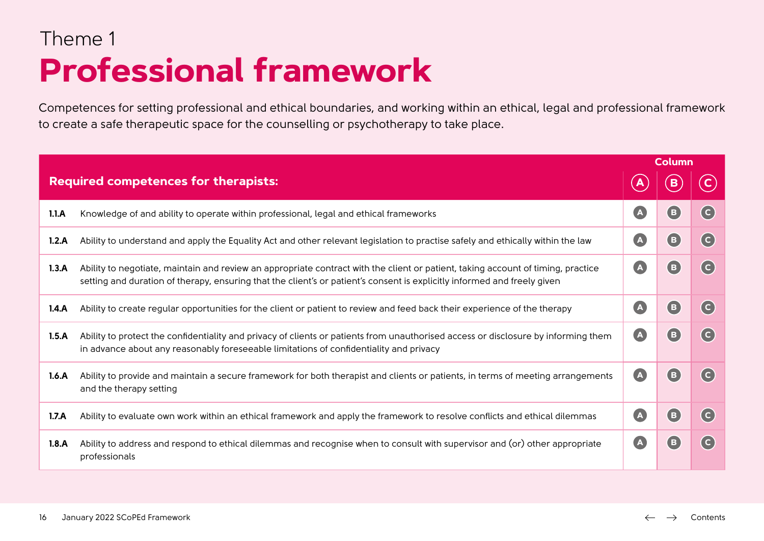### Theme 1 **Professional framework**

Competences for setting professional and ethical boundaries, and working within an ethical, legal and professional framework to create a safe therapeutic space for the counselling or psychotherapy to take place.

|       |                                                                                                                                                                                                                                                              |                           | <b>Column</b>              |                                               |
|-------|--------------------------------------------------------------------------------------------------------------------------------------------------------------------------------------------------------------------------------------------------------------|---------------------------|----------------------------|-----------------------------------------------|
|       | <b>Required competences for therapists:</b>                                                                                                                                                                                                                  |                           |                            |                                               |
| 1.1.A | Knowledge of and ability to operate within professional, legal and ethical frameworks                                                                                                                                                                        | $\boxed{\mathbf{A}}$      | $\left( \textbf{B}\right)$ | (c)                                           |
| 1.2.A | Ability to understand and apply the Equality Act and other relevant legislation to practise safely and ethically within the law                                                                                                                              | $\blacktriangle$          | (B)                        | $\mathsf{(c)}$                                |
| 1.3.A | Ability to negotiate, maintain and review an appropriate contract with the client or patient, taking account of timing, practice<br>setting and duration of therapy, ensuring that the client's or patient's consent is explicitly informed and freely given | $\blacktriangle$          | (B)                        | (c)                                           |
| 1.4.A | Ability to create regular opportunities for the client or patient to review and feed back their experience of the therapy                                                                                                                                    | $\left( {\bf{A}} \right)$ | (B)                        | $\left($ c                                    |
| 1.5.A | Ability to protect the confidentiality and privacy of clients or patients from unauthorised access or disclosure by informing them<br>in advance about any reasonably foreseeable limitations of confidentiality and privacy                                 | $\left( {\bf{A}} \right)$ | ( B                        | $\left( \mathsf{c}\right)$                    |
| 1.6.A | Ability to provide and maintain a secure framework for both therapist and clients or patients, in terms of meeting arrangements<br>and the therapy setting                                                                                                   | $\blacksquare$            | ( B                        | $\left( \begin{matrix}  \end{matrix} \right)$ |
| 1.7.A | Ability to evaluate own work within an ethical framework and apply the framework to resolve conflicts and ethical dilemmas                                                                                                                                   | $\boxed{\mathbf{A}}$      | $\left( \mathbf{B}\right)$ | (c)                                           |
| 1.8.A | Ability to address and respond to ethical dilemmas and recognise when to consult with supervisor and (or) other appropriate<br>professionals                                                                                                                 | $\blacksquare$            | (B)                        | $\left( \mathsf{c}\right)$                    |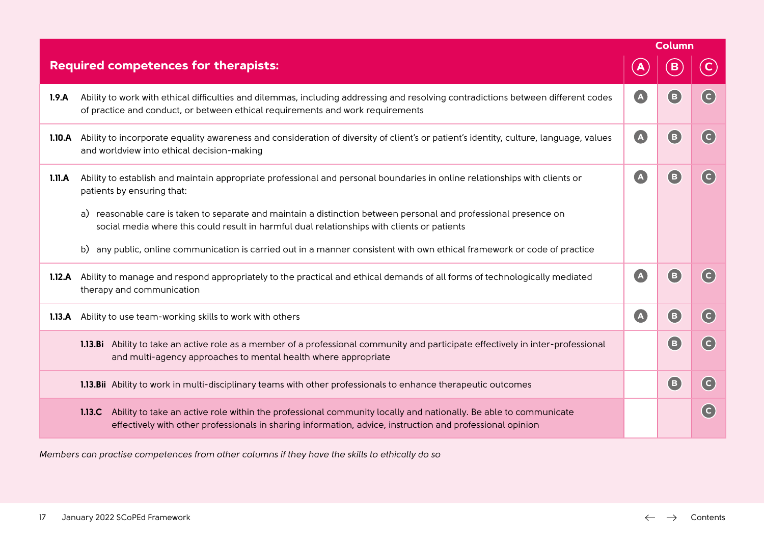|        |                                                                                                                                                                                                                                     |           | <b>Column</b>              |                         |
|--------|-------------------------------------------------------------------------------------------------------------------------------------------------------------------------------------------------------------------------------------|-----------|----------------------------|-------------------------|
|        | <b>Required competences for therapists:</b>                                                                                                                                                                                         |           |                            |                         |
| 1.9.A  | Ability to work with ethical difficulties and dilemmas, including addressing and resolving contradictions between different codes<br>of practice and conduct, or between ethical requirements and work requirements                 | <b>A</b>  | B                          | $\overline{c}$          |
| 1.10.A | Ability to incorporate equality awareness and consideration of diversity of client's or patient's identity, culture, language, values<br>and worldview into ethical decision-making                                                 | $\bullet$ | (B)                        | $\overline{c}$          |
| 1.11.A | Ability to establish and maintain appropriate professional and personal boundaries in online relationships with clients or<br>patients by ensuring that:                                                                            | A         | (B)                        | $\overline{c}$          |
|        | a) reasonable care is taken to separate and maintain a distinction between personal and professional presence on<br>social media where this could result in harmful dual relationships with clients or patients                     |           |                            |                         |
|        | b) any public, online communication is carried out in a manner consistent with own ethical framework or code of practice                                                                                                            |           |                            |                         |
| 1.12.A | Ability to manage and respond appropriately to the practical and ethical demands of all forms of technologically mediated<br>therapy and communication                                                                              | $\bullet$ | $\left( \mathbf{B}\right)$ | $\overline{c}$          |
| 1.13.A | Ability to use team-working skills to work with others                                                                                                                                                                              | A         | (B)                        | $(\mathsf{c})$          |
|        | 1.13.Bi Ability to take an active role as a member of a professional community and participate effectively in inter-professional<br>and multi-agency approaches to mental health where appropriate                                  |           | (B)                        | $\overline{c}$          |
|        | 1.13.Bii Ability to work in multi-disciplinary teams with other professionals to enhance therapeutic outcomes                                                                                                                       |           | <b>E</b>                   | $(\mathsf{c})$          |
|        | 1.13.C Ability to take an active role within the professional community locally and nationally. Be able to communicate<br>effectively with other professionals in sharing information, advice, instruction and professional opinion |           |                            | $\overline{\mathsf{c}}$ |

*Members can practise competences from other columns if they have the skills to ethically do so*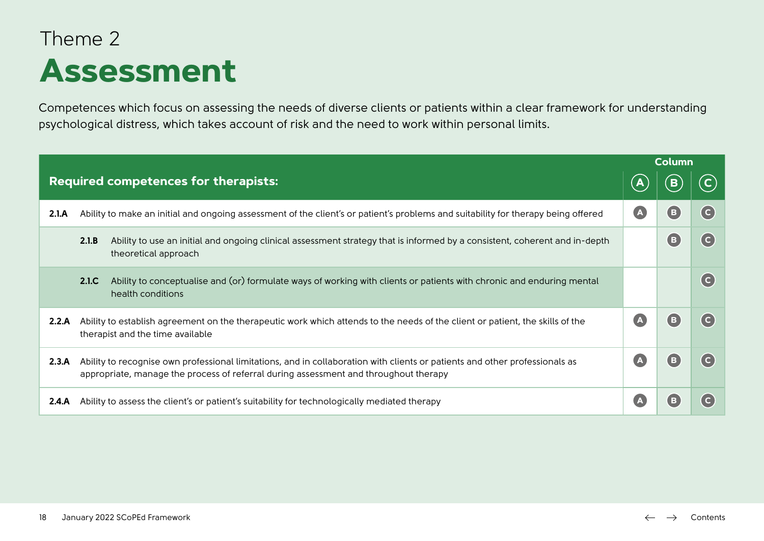### Theme 2 **Assessment**

Competences which focus on assessing the needs of diverse clients or patients within a clear framework for understanding psychological distress, which takes account of risk and the need to work within personal limits.

|       |                                                                                                                                                                                                                     |              | <b>Column</b> |                         |
|-------|---------------------------------------------------------------------------------------------------------------------------------------------------------------------------------------------------------------------|--------------|---------------|-------------------------|
|       | <b>Required competences for therapists:</b>                                                                                                                                                                         | $\mathbf{A}$ |               |                         |
| 2.1.A | Ability to make an initial and ongoing assessment of the client's or patient's problems and suitability for therapy being offered                                                                                   |              |               | (c)                     |
|       | 2.1.B<br>Ability to use an initial and ongoing clinical assessment strategy that is informed by a consistent, coherent and in-depth<br>theoretical approach                                                         |              |               | $\overline{\mathsf{c}}$ |
|       | Ability to conceptualise and (or) formulate ways of working with clients or patients with chronic and enduring mental<br>2.1.C<br>health conditions                                                                 |              |               | $(\mathsf{c})$          |
| 2.2.A | Ability to establish agreement on the therapeutic work which attends to the needs of the client or patient, the skills of the<br>therapist and the time available                                                   |              |               | $\overline{c}$          |
| 2.3.A | Ability to recognise own professional limitations, and in collaboration with clients or patients and other professionals as<br>appropriate, manage the process of referral during assessment and throughout therapy |              |               | $\overline{\mathsf{c}}$ |
| 2.4.A | Ability to assess the client's or patient's suitability for technologically mediated therapy                                                                                                                        |              |               | $\overline{c}$          |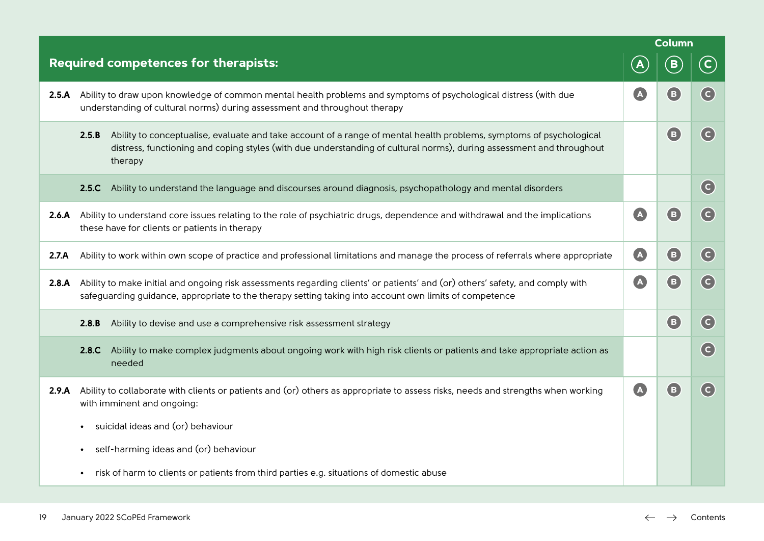|       |                                                                                                                                                                                                                                                                 |           | Column                             |                            |
|-------|-----------------------------------------------------------------------------------------------------------------------------------------------------------------------------------------------------------------------------------------------------------------|-----------|------------------------------------|----------------------------|
|       | Required competences for therapists:                                                                                                                                                                                                                            |           | B                                  | $\mathsf{C}$               |
| 2.5.A | Ability to draw upon knowledge of common mental health problems and symptoms of psychological distress (with due<br>understanding of cultural norms) during assessment and throughout therapy                                                                   | A         | (B)                                | $\left( \mathsf{c}\right)$ |
|       | Ability to conceptualise, evaluate and take account of a range of mental health problems, symptoms of psychological<br>2.5.B<br>distress, functioning and coping styles (with due understanding of cultural norms), during assessment and throughout<br>therapy |           | $\mathbf \left( \mathbf B \right)$ | $\left( \mathsf{c}\right)$ |
|       | Ability to understand the language and discourses around diagnosis, psychopathology and mental disorders<br>2.5.C                                                                                                                                               |           |                                    | $\left( \mathsf{c}\right)$ |
| 2.6.A | Ability to understand core issues relating to the role of psychiatric drugs, dependence and withdrawal and the implications<br>these have for clients or patients in therapy                                                                                    | $\Delta$  | (B)                                | $\left( \mathsf{c}\right)$ |
| 2.7.A | Ability to work within own scope of practice and professional limitations and manage the process of referrals where appropriate                                                                                                                                 | A         | (B)                                | $\left( \text{c} \right)$  |
| 2.8.A | Ability to make initial and ongoing risk assessments regarding clients' or patients' and (or) others' safety, and comply with<br>safeguarding guidance, appropriate to the therapy setting taking into account own limits of competence                         | $\bullet$ | $\bigoplus$                        | $\left( \mathsf{c}\right)$ |
|       | Ability to devise and use a comprehensive risk assessment strategy<br>2.8.B                                                                                                                                                                                     |           | $\bigcirc$                         | $(\mathsf{c})$             |
|       | Ability to make complex judgments about ongoing work with high risk clients or patients and take appropriate action as<br>2.8.C<br>needed                                                                                                                       |           |                                    | $\left( \mathsf{c}\right)$ |
| 2.9.A | Ability to collaborate with clients or patients and (or) others as appropriate to assess risks, needs and strengths when working<br>with imminent and ongoing:                                                                                                  | $\bullet$ | (B)                                | $(\mathsf{c})$             |
|       | suicidal ideas and (or) behaviour                                                                                                                                                                                                                               |           |                                    |                            |
|       | self-harming ideas and (or) behaviour                                                                                                                                                                                                                           |           |                                    |                            |
|       | risk of harm to clients or patients from third parties e.g. situations of domestic abuse                                                                                                                                                                        |           |                                    |                            |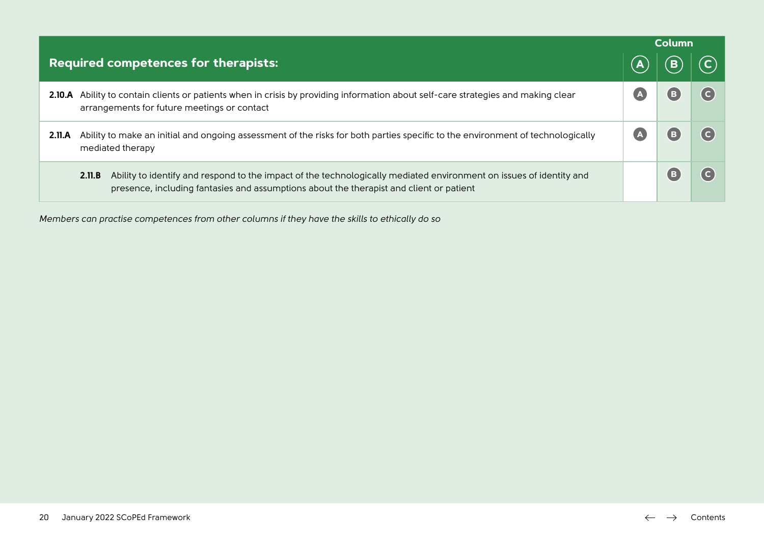|        |                                                                                                                                                                                                                          | <b>Column</b> |  |
|--------|--------------------------------------------------------------------------------------------------------------------------------------------------------------------------------------------------------------------------|---------------|--|
|        | Required competences for therapists:                                                                                                                                                                                     |               |  |
|        | 2.10.A Ability to contain clients or patients when in crisis by providing information about self-care strategies and making clear<br>arrangements for future meetings or contact                                         |               |  |
| 2.11.A | Ability to make an initial and ongoing assessment of the risks for both parties specific to the environment of technologically<br>mediated therapy                                                                       |               |  |
|        | Ability to identify and respond to the impact of the technologically mediated environment on issues of identity and<br>2.11.B<br>presence, including fantasies and assumptions about the therapist and client or patient |               |  |

*Members can practise competences from other columns if they have the skills to ethically do so*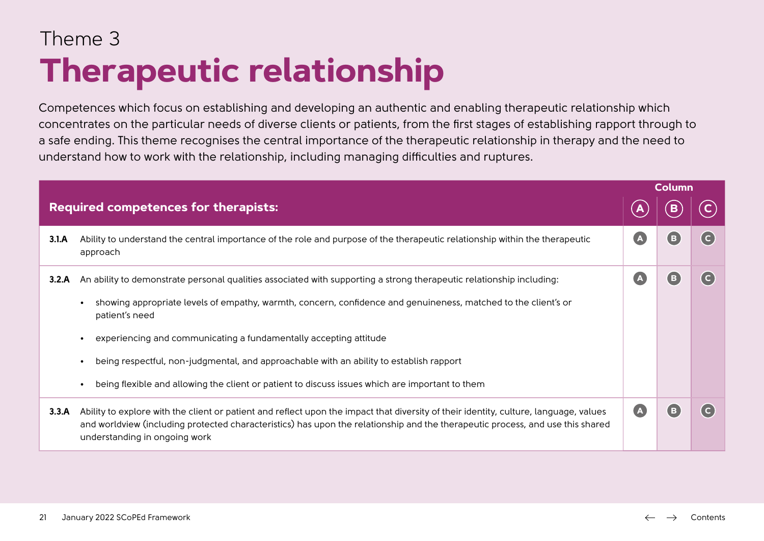### Theme 3 **Therapeutic relationship**

Competences which focus on establishing and developing an authentic and enabling therapeutic relationship which concentrates on the particular needs of diverse clients or patients, from the first stages of establishing rapport through to a safe ending. This theme recognises the central importance of the therapeutic relationship in therapy and the need to understand how to work with the relationship, including managing difficulties and ruptures.

| <b>Column</b>  |
|----------------|
|                |
| $(\mathsf{c})$ |
| (c)            |
|                |
|                |
|                |
|                |
| $\mathsf{(c)}$ |
|                |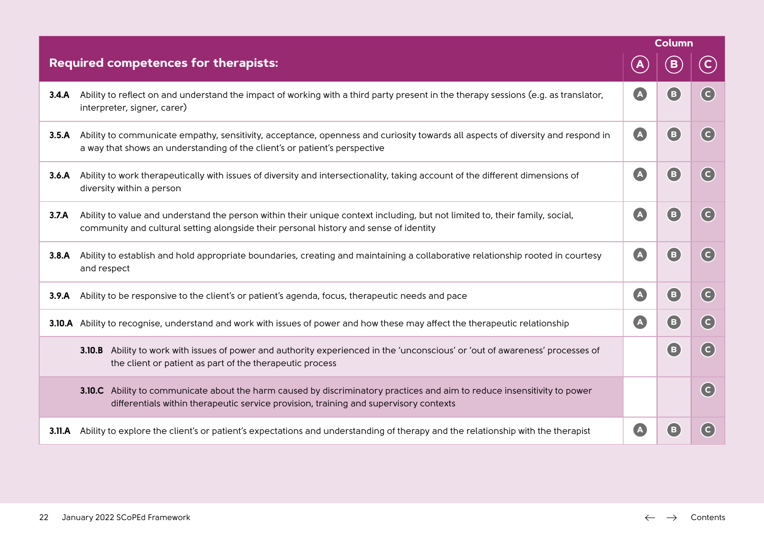|       |                                                                                                                                                                                                                      |                  | Column                                                  |                            |
|-------|----------------------------------------------------------------------------------------------------------------------------------------------------------------------------------------------------------------------|------------------|---------------------------------------------------------|----------------------------|
|       | <b>Required competences for therapists:</b>                                                                                                                                                                          | $\blacktriangle$ | B                                                       | $\mathbf{C}$               |
| 3.4.A | Ability to reflect on and understand the impact of working with a third party present in the therapy sessions (e.g. as translator,<br>interpreter, signer, carer)                                                    | A                | $\mathbf{B}$                                            | $\overline{c}$             |
| 3.5.A | Ability to communicate empathy, sensitivity, acceptance, openness and curiosity towards all aspects of diversity and respond in<br>a way that shows an understanding of the client's or patient's perspective        | $\bullet$        | $\left( \mathbf{B}\right)$                              | $\overline{c}$             |
| 3.6.A | Ability to work therapeutically with issues of diversity and intersectionality, taking account of the different dimensions of<br>diversity within a person                                                           | $\bullet$        | $\left( \begin{matrix} \mathbf{B} \end{matrix} \right)$ | $\left( \mathsf{c}\right)$ |
| 3.7.A | Ability to value and understand the person within their unique context including, but not limited to, their family, social,<br>community and cultural setting alongside their personal history and sense of identity | $\bullet$        | (B)                                                     | $\left( \mathsf{c}\right)$ |
| 3.8.A | Ability to establish and hold appropriate boundaries, creating and maintaining a collaborative relationship rooted in courtesy<br>and respect                                                                        | $\bullet$        | (B)                                                     | (c)                        |
| 3.9.A | Ability to be responsive to the client's or patient's agenda, focus, therapeutic needs and pace                                                                                                                      | $\bullet$        | $\left( \mathsf{B}\right)$                              | $\left( \mathsf{c}\right)$ |
|       | 3.10.A Ability to recognise, understand and work with issues of power and how these may affect the therapeutic relationship                                                                                          | $\bullet$        | (B)                                                     | $\left( \mathsf{c}\right)$ |
|       | 3.10.B Ability to work with issues of power and authority experienced in the 'unconscious' or 'out of awareness' processes of<br>the client or patient as part of the therapeutic process                            |                  | (B)                                                     | $\left( c\right)$          |
|       | 3.10.C Ability to communicate about the harm caused by discriminatory practices and aim to reduce insensitivity to power<br>differentials within therapeutic service provision, training and supervisory contexts    |                  |                                                         | $\left( \mathsf{c}\right)$ |
|       | 3.11.A Ability to explore the client's or patient's expectations and understanding of therapy and the relationship with the therapist                                                                                | A                | B.                                                      | $\overline{c}$             |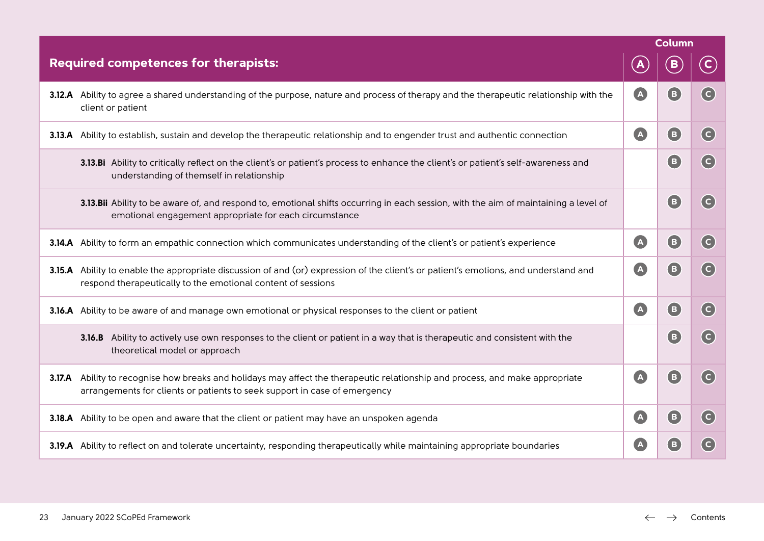|                                                                                                                                                                                                            |                           | <b>Column</b>                                           |                            |
|------------------------------------------------------------------------------------------------------------------------------------------------------------------------------------------------------------|---------------------------|---------------------------------------------------------|----------------------------|
| Required competences for therapists:                                                                                                                                                                       | A                         | B                                                       | $\left( \mathsf{C}\right)$ |
| 3.12.A Ability to agree a shared understanding of the purpose, nature and process of therapy and the therapeutic relationship with the<br>client or patient                                                | $\bigcirc$                | (B)                                                     | $\left( c\right)$          |
| 3.13.A Ability to establish, sustain and develop the therapeutic relationship and to engender trust and authentic connection                                                                               | $\bullet$                 | (B)                                                     | $\left(  \right.  \right)$ |
| 3.13.Bi Ability to critically reflect on the client's or patient's process to enhance the client's or patient's self-awareness and<br>understanding of themself in relationship                            |                           | $\mathbf{E}$                                            | $\left( \mathsf{c}\right)$ |
| 3.13.Bii Ability to be aware of, and respond to, emotional shifts occurring in each session, with the aim of maintaining a level of<br>emotional engagement appropriate for each circumstance              |                           | $\left( \mathsf{B}\right)$                              | $\left( \mathsf{c}\right)$ |
| 3.14.A Ability to form an empathic connection which communicates understanding of the client's or patient's experience                                                                                     | A                         | (B)                                                     | (c)                        |
| 3.15.A Ability to enable the appropriate discussion of and (or) expression of the client's or patient's emotions, and understand and<br>respond therapeutically to the emotional content of sessions       | $\bigcirc$                | (B)                                                     | $(\mathsf{c})$             |
| 3.16.A Ability to be aware of and manage own emotional or physical responses to the client or patient                                                                                                      | A                         | $\left( \mathsf{B}\right)$                              | $\left( \mathsf{c}\right)$ |
| 3.16.B Ability to actively use own responses to the client or patient in a way that is therapeutic and consistent with the<br>theoretical model or approach                                                |                           | $\left( \begin{matrix} \mathbf{E} \end{matrix} \right)$ | $\overline{c}$             |
| 3.17.A Ability to recognise how breaks and holidays may affect the therapeutic relationship and process, and make appropriate<br>arrangements for clients or patients to seek support in case of emergency | $\bullet$                 | $\mathbf{E}$                                            | $\left( \mathsf{c}\right)$ |
| 3.18.A Ability to be open and aware that the client or patient may have an unspoken agenda                                                                                                                 | A                         | (B)                                                     | $\left( \mathsf{c}\right)$ |
| 3.19.A Ability to reflect on and tolerate uncertainty, responding therapeutically while maintaining appropriate boundaries                                                                                 | $\left( {\bf{A}} \right)$ | $\left( \begin{matrix} \mathbf{B} \end{matrix} \right)$ | $\left( \mathsf{c}\right)$ |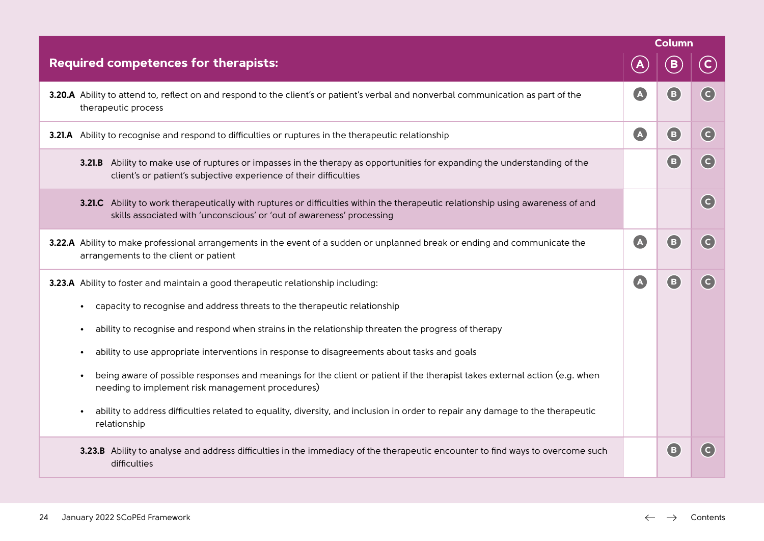|                                                                                                                                                                                                          |                       | <b>Column</b>              |                                                        |
|----------------------------------------------------------------------------------------------------------------------------------------------------------------------------------------------------------|-----------------------|----------------------------|--------------------------------------------------------|
| Required competences for therapists:                                                                                                                                                                     |                       | B                          | $\left  \mathbf{C}\right $                             |
| 3.20.A Ability to attend to, reflect on and respond to the client's or patient's verbal and nonverbal communication as part of the<br>therapeutic process                                                | A                     | $\left( \mathsf{B}\right)$ | $(\mathsf{c})$                                         |
| 3.21.A Ability to recognise and respond to difficulties or ruptures in the therapeutic relationship                                                                                                      | $\boldsymbol{\Delta}$ | $\left( \mathbf{B}\right)$ | (c)                                                    |
| 3.21.B Ability to make use of ruptures or impasses in the therapy as opportunities for expanding the understanding of the<br>client's or patient's subjective experience of their difficulties           |                       | 8                          | $\overline{c}$                                         |
| 3.21.C Ability to work therapeutically with ruptures or difficulties within the therapeutic relationship using awareness of and<br>skills associated with 'unconscious' or 'out of awareness' processing |                       |                            | (c)                                                    |
| 3.22.A Ability to make professional arrangements in the event of a sudden or unplanned break or ending and communicate the<br>arrangements to the client or patient                                      | $\Delta$              | $\mathbf{E}$               | $\left( \mathsf{c}\right)$                             |
| <b>3.23.A</b> Ability to foster and maintain a good therapeutic relationship including:                                                                                                                  | A                     | $\left( \mathsf{B}\right)$ | $\left( \begin{array}{c} \text{C} \end{array} \right)$ |
| capacity to recognise and address threats to the therapeutic relationship<br>$\bullet$                                                                                                                   |                       |                            |                                                        |
| ability to recognise and respond when strains in the relationship threaten the progress of therapy<br>$\bullet$                                                                                          |                       |                            |                                                        |
| ability to use appropriate interventions in response to disagreements about tasks and goals<br>$\bullet$                                                                                                 |                       |                            |                                                        |
| being aware of possible responses and meanings for the client or patient if the therapist takes external action (e.g. when<br>$\bullet$<br>needing to implement risk management procedures)              |                       |                            |                                                        |
| ability to address difficulties related to equality, diversity, and inclusion in order to repair any damage to the therapeutic<br>$\bullet$<br>relationship                                              |                       |                            |                                                        |
| 3.23.B Ability to analyse and address difficulties in the immediacy of the therapeutic encounter to find ways to overcome such<br>difficulties                                                           |                       | $\left( \mathsf{B}\right)$ | $\left( \begin{matrix} 1 \\ 1 \end{matrix} \right)$    |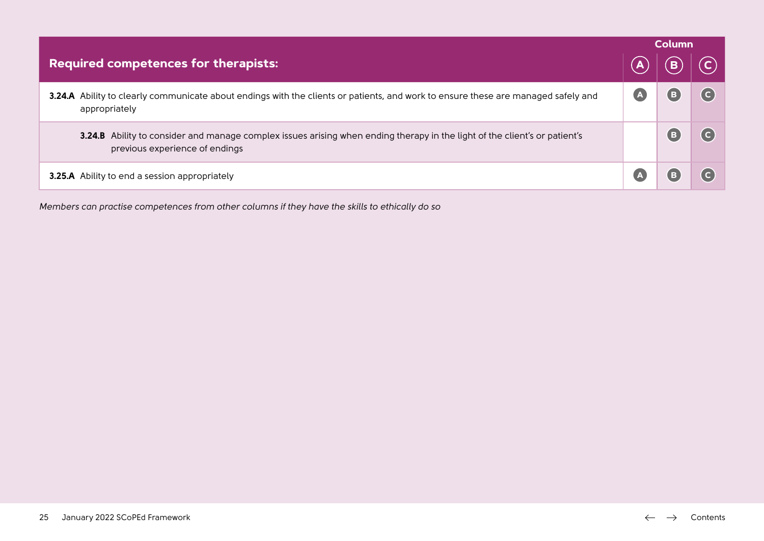|                                                                                                                                                              | <b>Column</b> |  |  |
|--------------------------------------------------------------------------------------------------------------------------------------------------------------|---------------|--|--|
| <b>Required competences for therapists:</b>                                                                                                                  |               |  |  |
| 3.24.A Ability to clearly communicate about endings with the clients or patients, and work to ensure these are managed safely and<br>appropriately           |               |  |  |
| 3.24.B Ability to consider and manage complex issues arising when ending therapy in the light of the client's or patient's<br>previous experience of endings |               |  |  |
| <b>3.25.A</b> Ability to end a session appropriately                                                                                                         |               |  |  |

*Members can practise competences from other columns if they have the skills to ethically do so*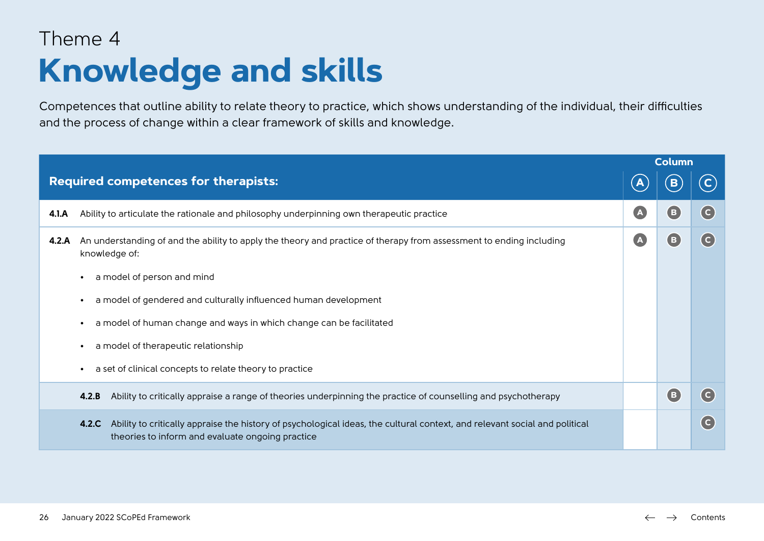### Theme 4 **Knowledge and skills**

Competences that outline ability to relate theory to practice, which shows understanding of the individual, their difficulties and the process of change within a clear framework of skills and knowledge.

|       |                                                                                                                                                                                         | <b>Column</b> |                |                |
|-------|-----------------------------------------------------------------------------------------------------------------------------------------------------------------------------------------|---------------|----------------|----------------|
|       | <b>Required competences for therapists:</b>                                                                                                                                             |               | в              |                |
| 4.1.A | Ability to articulate the rationale and philosophy underpinning own therapeutic practice                                                                                                | $\Delta$      | (B)            | (c)            |
| 4.2.A | An understanding of and the ability to apply the theory and practice of therapy from assessment to ending including<br>knowledge of:                                                    | $\Delta$      | (B)            | $\overline{c}$ |
|       | a model of person and mind<br>$\bullet$                                                                                                                                                 |               |                |                |
|       | a model of gendered and culturally influenced human development<br>$\bullet$                                                                                                            |               |                |                |
|       | a model of human change and ways in which change can be facilitated<br>$\bullet$                                                                                                        |               |                |                |
|       | a model of therapeutic relationship<br>$\bullet$                                                                                                                                        |               |                |                |
|       | a set of clinical concepts to relate theory to practice<br>$\bullet$                                                                                                                    |               |                |                |
|       | Ability to critically appraise a range of theories underpinning the practice of counselling and psychotherapy<br>4.2.B                                                                  |               | $\overline{B}$ | (c)            |
|       | Ability to critically appraise the history of psychological ideas, the cultural context, and relevant social and political<br>4.2.C<br>theories to inform and evaluate ongoing practice |               |                | (c)            |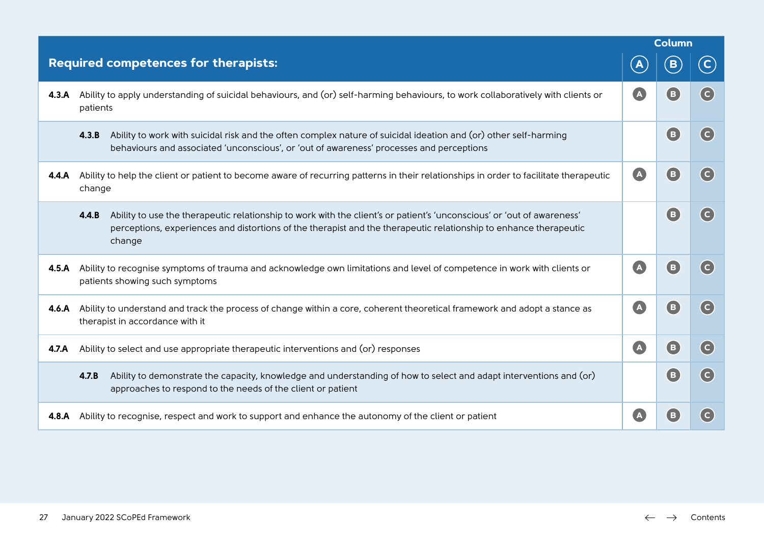|       |                                                                                                                                                                                                                                                                |                                                      | <b>Column</b>   |                |  |
|-------|----------------------------------------------------------------------------------------------------------------------------------------------------------------------------------------------------------------------------------------------------------------|------------------------------------------------------|-----------------|----------------|--|
|       | <b>Required competences for therapists:</b>                                                                                                                                                                                                                    |                                                      | $\, {\bf B} \,$ | $\mathsf{C}$   |  |
| 4.3.A | Ability to apply understanding of suicidal behaviours, and (or) self-harming behaviours, to work collaboratively with clients or<br>patients                                                                                                                   | $\blacksquare$                                       | B               | $\overline{c}$ |  |
|       | Ability to work with suicidal risk and the often complex nature of suicidal ideation and (or) other self-harming<br>4.3.B<br>behaviours and associated 'unconscious', or 'out of awareness' processes and perceptions                                          |                                                      | (B)             | (c)            |  |
| 4.4.A | Ability to help the client or patient to become aware of recurring patterns in their relationships in order to facilitate therapeutic<br>change                                                                                                                | $\bullet$                                            | (B)             | $(\mathsf{c})$ |  |
|       | Ability to use the therapeutic relationship to work with the client's or patient's 'unconscious' or 'out of awareness'<br>4.4.B<br>perceptions, experiences and distortions of the therapist and the therapeutic relationship to enhance therapeutic<br>change |                                                      | (B)             | (c)            |  |
| 4.5.A | Ability to recognise symptoms of trauma and acknowledge own limitations and level of competence in work with clients or<br>patients showing such symptoms                                                                                                      | $\blacksquare$                                       | (B)             | (c)            |  |
| 4.6.A | Ability to understand and track the process of change within a core, coherent theoretical framework and adopt a stance as<br>therapist in accordance with it                                                                                                   | $\overline{A}$                                       | (B)             | (c)            |  |
| 4.7.A | Ability to select and use appropriate therapeutic interventions and (or) responses                                                                                                                                                                             | $\left( \begin{array}{c} \Delta \end{array} \right)$ | (B)             | (c)            |  |
|       | 4.7.B<br>Ability to demonstrate the capacity, knowledge and understanding of how to select and adapt interventions and (or)<br>approaches to respond to the needs of the client or patient                                                                     |                                                      | (B)             | (c)            |  |
| 4.8.A | Ability to recognise, respect and work to support and enhance the autonomy of the client or patient                                                                                                                                                            |                                                      | в               | $\overline{c}$ |  |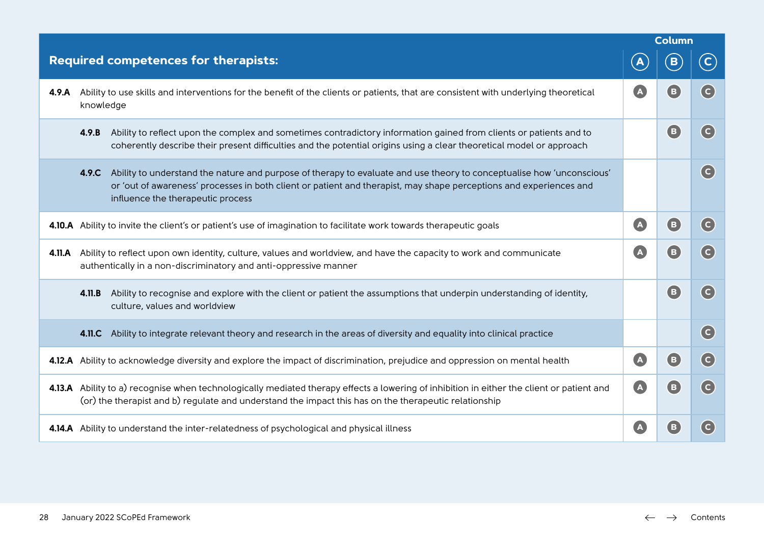|        |                                                                                                                                                                                                                                                                                           |                | Column                                                  |                            |
|--------|-------------------------------------------------------------------------------------------------------------------------------------------------------------------------------------------------------------------------------------------------------------------------------------------|----------------|---------------------------------------------------------|----------------------------|
|        | <b>Required competences for therapists:</b>                                                                                                                                                                                                                                               | $\mathbf{A}$   | $\mathbf{B}$                                            | $\mathbf{C}$               |
| 4.9.A  | Ability to use skills and interventions for the benefit of the clients or patients, that are consistent with underlying theoretical<br>knowledge                                                                                                                                          | A              | <b>B</b>                                                | $\left( $                  |
|        | Ability to reflect upon the complex and sometimes contradictory information gained from clients or patients and to<br>4.9.B<br>coherently describe their present difficulties and the potential origins using a clear theoretical model or approach                                       |                | $\left( \begin{matrix} \mathbf{B} \end{matrix} \right)$ | $(\mathsf{c})$             |
|        | Ability to understand the nature and purpose of therapy to evaluate and use theory to conceptualise how 'unconscious'<br>4.9.C<br>or 'out of awareness' processes in both client or patient and therapist, may shape perceptions and experiences and<br>influence the therapeutic process |                |                                                         | (c)                        |
|        | 4.10.A Ability to invite the client's or patient's use of imagination to facilitate work towards therapeutic goals                                                                                                                                                                        | $\overline{A}$ | (B)                                                     | $\overline{c}$             |
| 4.11.A | Ability to reflect upon own identity, culture, values and worldview, and have the capacity to work and communicate<br>authentically in a non-discriminatory and anti-oppressive manner                                                                                                    | $\bullet$      | (B)                                                     | (c)                        |
|        | Ability to recognise and explore with the client or patient the assumptions that underpin understanding of identity,<br>4.11.B<br>culture, values and worldview                                                                                                                           |                | $\left( \mathbf{B}\right)$                              | (c)                        |
|        | 4.11.C Ability to integrate relevant theory and research in the areas of diversity and equality into clinical practice                                                                                                                                                                    |                |                                                         | $\left( \mathsf{c}\right)$ |
|        | 4.12.A Ability to acknowledge diversity and explore the impact of discrimination, prejudice and oppression on mental health                                                                                                                                                               | $\blacksquare$ | (B)                                                     | (c)                        |
|        | 4.13.A Ability to a) recognise when technologically mediated therapy effects a lowering of inhibition in either the client or patient and<br>(or) the therapist and b) regulate and understand the impact this has on the therapeutic relationship                                        | $\bullet$      | (B)                                                     | (c)                        |
|        | 4.14.A Ability to understand the inter-relatedness of psychological and physical illness                                                                                                                                                                                                  |                | B                                                       | $\overline{c}$             |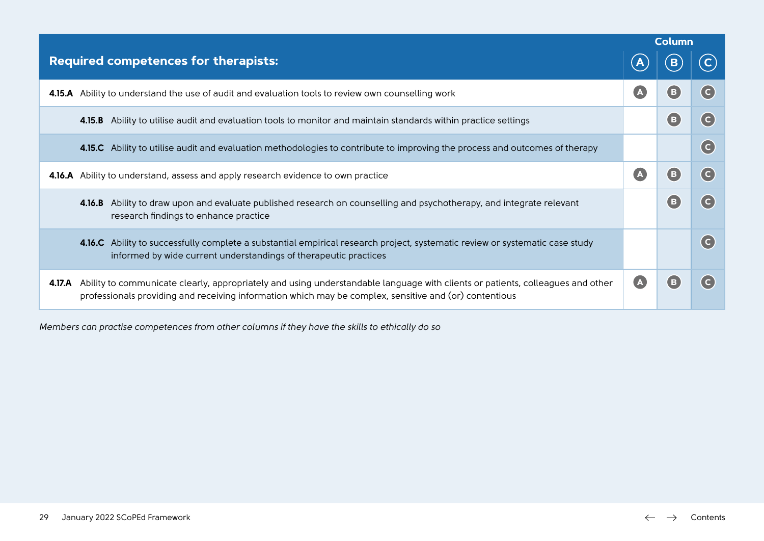|        |                                                                                                                                                                                                                                          | <b>Column</b>           |   |                |
|--------|------------------------------------------------------------------------------------------------------------------------------------------------------------------------------------------------------------------------------------------|-------------------------|---|----------------|
|        | <b>Required competences for therapists:</b>                                                                                                                                                                                              |                         |   |                |
|        | 4.15.A Ability to understand the use of audit and evaluation tools to review own counselling work                                                                                                                                        | $\overline{\mathbf{A}}$ | в | ( C            |
|        | 4.15.B Ability to utilise audit and evaluation tools to monitor and maintain standards within practice settings                                                                                                                          |                         | B | $\overline{c}$ |
|        | 4.15.C Ability to utilise audit and evaluation methodologies to contribute to improving the process and outcomes of therapy                                                                                                              |                         |   | $\overline{c}$ |
|        | 4.16.A Ability to understand, assess and apply research evidence to own practice                                                                                                                                                         |                         | в | ( C            |
|        | Ability to draw upon and evaluate published research on counselling and psychotherapy, and integrate relevant<br>4.16.B<br>research findings to enhance practice                                                                         |                         | в |                |
|        | 4.16.C Ability to successfully complete a substantial empirical research project, systematic review or systematic case study<br>informed by wide current understandings of therapeutic practices                                         |                         |   | ( C i          |
| 4.17.A | Ability to communicate clearly, appropriately and using understandable language with clients or patients, colleagues and other<br>professionals providing and receiving information which may be complex, sensitive and (or) contentious |                         |   |                |

*Members can practise competences from other columns if they have the skills to ethically do so*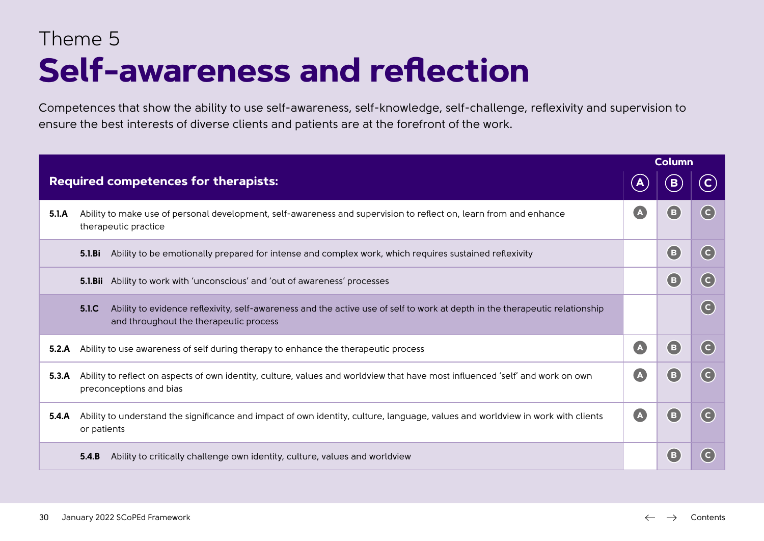### Theme 5 **Self-awareness and reflection**

Competences that show the ability to use self-awareness, self-knowledge, self-challenge, reflexivity and supervision to ensure the best interests of diverse clients and patients are at the forefront of the work.

|                                             |                                                                                                                                                                                           | <b>Column</b>             |                |                                               |
|---------------------------------------------|-------------------------------------------------------------------------------------------------------------------------------------------------------------------------------------------|---------------------------|----------------|-----------------------------------------------|
| <b>Required competences for therapists:</b> |                                                                                                                                                                                           |                           |                |                                               |
| 5.1.A                                       | Ability to make use of personal development, self-awareness and supervision to reflect on, learn from and enhance<br>therapeutic practice                                                 | A                         | $\blacksquare$ | (c)                                           |
|                                             | 5.1.Bi<br>Ability to be emotionally prepared for intense and complex work, which requires sustained reflexivity                                                                           |                           | ( B            | $\left($ C                                    |
|                                             | <b>5.1.Bii</b> Ability to work with 'unconscious' and 'out of awareness' processes                                                                                                        |                           | (B)            | $\left($ C                                    |
|                                             | 5.1 <sub>C</sub><br>Ability to evidence reflexivity, self-awareness and the active use of self to work at depth in the therapeutic relationship<br>and throughout the therapeutic process |                           |                | $\left($ C                                    |
| 5.2.A                                       | Ability to use awareness of self during therapy to enhance the therapeutic process                                                                                                        | A                         | (в             | $\left( c\right)$                             |
| 5.3.A                                       | Ability to reflect on aspects of own identity, culture, values and worldview that have most influenced 'self' and work on own<br>preconceptions and bias                                  | $\Delta$                  | ( B            | $\left( \begin{matrix}  \end{matrix} \right)$ |
| 5.4.A                                       | Ability to understand the significance and impact of own identity, culture, language, values and worldview in work with clients<br>or patients                                            | $\left  {\bf{A}} \right $ | ( B            | (c)                                           |
|                                             | Ability to critically challenge own identity, culture, values and worldview<br>5.4.B                                                                                                      |                           | (B             | (c)                                           |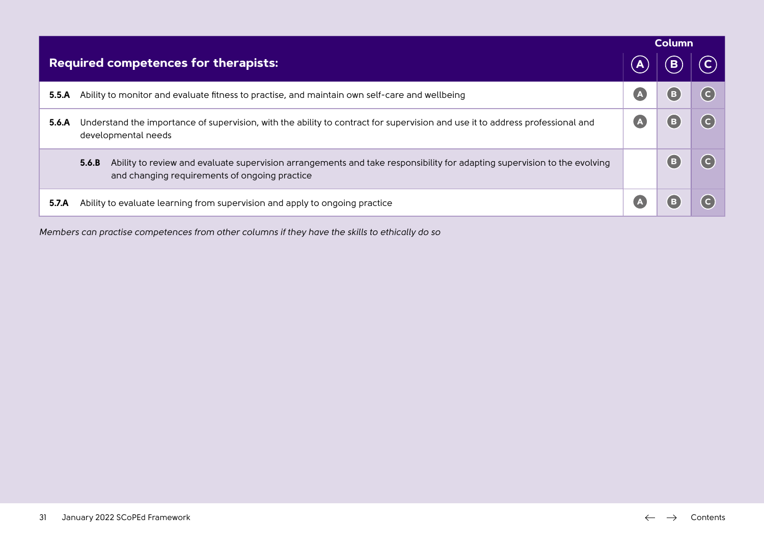|                                             |                                                                                                                                                                                    | <b>Column</b> |    |  |
|---------------------------------------------|------------------------------------------------------------------------------------------------------------------------------------------------------------------------------------|---------------|----|--|
| <b>Required competences for therapists:</b> |                                                                                                                                                                                    |               |    |  |
| 5.5.A                                       | Ability to monitor and evaluate fitness to practise, and maintain own self-care and wellbeing                                                                                      | A             | (B |  |
| 5.6.A                                       | Understand the importance of supervision, with the ability to contract for supervision and use it to address professional and<br>developmental needs                               |               |    |  |
|                                             | Ability to review and evaluate supervision arrangements and take responsibility for adapting supervision to the evolving<br>5.6.B<br>and changing requirements of ongoing practice |               |    |  |
| 5.7.A                                       | Ability to evaluate learning from supervision and apply to ongoing practice                                                                                                        |               |    |  |

*Members can practise competences from other columns if they have the skills to ethically do so*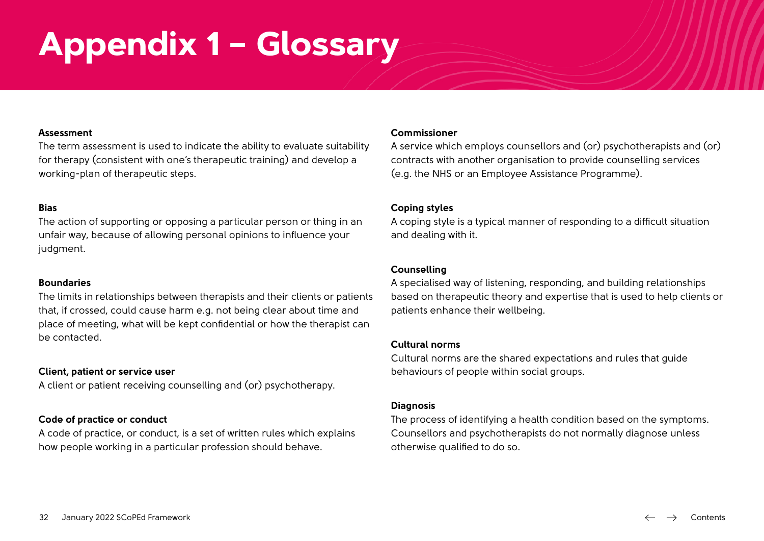# <span id="page-31-0"></span>**Appendix 1 – Glossary**

#### **Assessment**

The term assessment is used to indicate the ability to evaluate suitability for therapy (consistent with one's therapeutic training) and develop a working-plan of therapeutic steps.

#### **Bias**

The action of supporting or opposing a particular person or thing in an unfair way, because of allowing personal opinions to influence your judament.

#### **Boundaries**

The limits in relationships between therapists and their clients or patients that, if crossed, could cause harm e.g. not being clear about time and place of meeting, what will be kept confidential or how the therapist can be contacted.

#### **Client, patient or service user**

A client or patient receiving counselling and (or) psychotherapy.

#### **Code of practice or conduct**

A code of practice, or conduct, is a set of written rules which explains how people working in a particular profession should behave.

#### **Commissioner**

A service which employs counsellors and (or) psychotherapists and (or) contracts with another organisation to provide counselling services (e.g. the NHS or an Employee Assistance Programme).

#### **Coping styles**

A coping style is a typical manner of responding to a difficult situation and dealing with it.

#### **Counselling**

A specialised way of listening, responding, and building relationships based on therapeutic theory and expertise that is used to help clients or patients enhance their wellbeing.

#### **Cultural norms**

Cultural norms are the shared expectations and rules that guide behaviours of people within social groups.

#### **Diagnosis**

The process of identifying a health condition based on the symptoms. Counsellors and psychotherapists do not normally diagnose unless otherwise qualified to do so.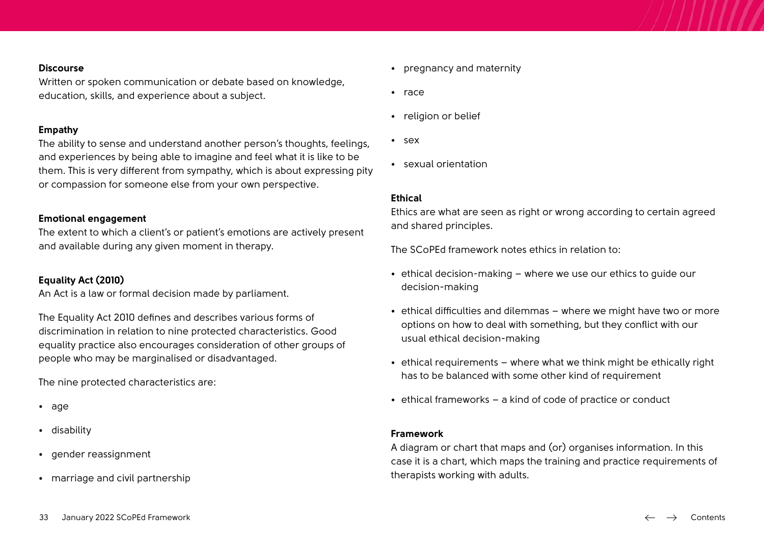#### **Discourse**

Written or spoken communication or debate based on knowledge, education, skills, and experience about a subject.

#### **Empathy**

The ability to sense and understand another person's thoughts, feelings, and experiences by being able to imagine and feel what it is like to be them. This is very different from sympathy, which is about expressing pity or compassion for someone else from your own perspective.

#### **Emotional engagement**

The extent to which a client's or patient's emotions are actively present and available during any given moment in therapy.

#### **Equality Act (2010)**

An Act is a law or formal decision made by parliament.

The Equality Act 2010 defines and describes various forms of discrimination in relation to nine protected characteristics. Good equality practice also encourages consideration of other groups of people who may be marginalised or disadvantaged.

The nine protected characteristics are:

- age
- disability
- gender reassignment
- marriage and civil partnership
- pregnancy and maternity
- race
- religion or belief
- sex
- sexual orientation

#### **Ethical**

Ethics are what are seen as right or wrong according to certain agreed and shared principles.

The SCoPEd framework notes ethics in relation to:

- ethical decision-making where we use our ethics to guide our decision-making
- ethical difficulties and dilemmas where we might have two or more options on how to deal with something, but they conflict with our usual ethical decision-making
- ethical requirements where what we think might be ethically right has to be balanced with some other kind of requirement
- ethical frameworks a kind of code of practice or conduct

#### **Framework**

A diagram or chart that maps and (or) organises information. In this case it is a chart, which maps the training and practice requirements of therapists working with adults.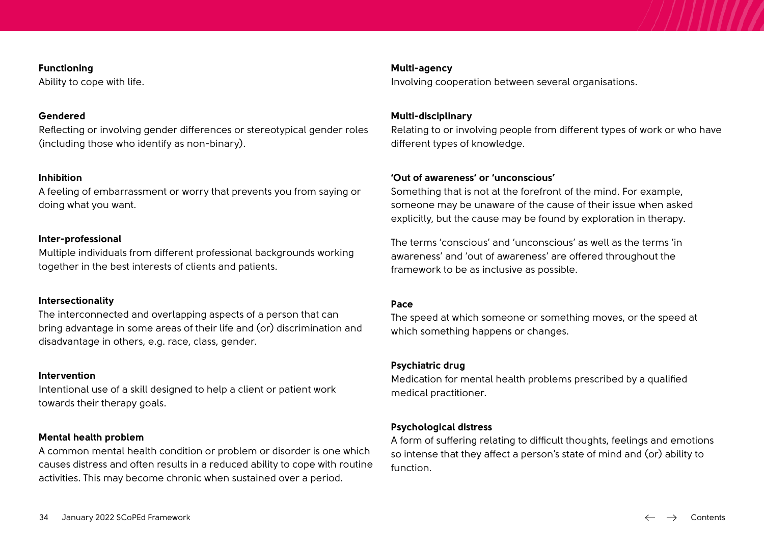#### **Functioning**

Ability to cope with life.

#### **Gendered**

Reflecting or involving gender differences or stereotypical gender roles (including those who identify as non-binary).

#### **Inhibition**

A feeling of embarrassment or worry that prevents you from saying or doing what you want.

#### **Inter-professional**

Multiple individuals from different professional backgrounds working together in the best interests of clients and patients.

#### **Intersectionality**

The interconnected and overlapping aspects of a person that can bring advantage in some areas of their life and (or) discrimination and disadvantage in others, e.g. race, class, gender.

#### **Intervention**

Intentional use of a skill designed to help a client or patient work towards their therapy goals.

#### **Mental health problem**

A common mental health condition or problem or disorder is one which causes distress and often results in a reduced ability to cope with routine activities. This may become chronic when sustained over a period.

#### **Multi-agency**

Involving cooperation between several organisations.

#### **Multi-disciplinary**

Relating to or involving people from different types of work or who have different types of knowledge.

#### **'Out of awareness' or 'unconscious'**

Something that is not at the forefront of the mind. For example, someone may be unaware of the cause of their issue when asked explicitly, but the cause may be found by exploration in therapy.

The terms 'conscious' and 'unconscious' as well as the terms 'in awareness' and 'out of awareness' are offered throughout the framework to be as inclusive as possible.

#### **Pace**

The speed at which someone or something moves, or the speed at which something happens or changes.

#### **Psychiatric drug**

Medication for mental health problems prescribed by a qualified medical practitioner.

#### **Psychological distress**

A form of suffering relating to difficult thoughts, feelings and emotions so intense that they affect a person's state of mind and (or) ability to function.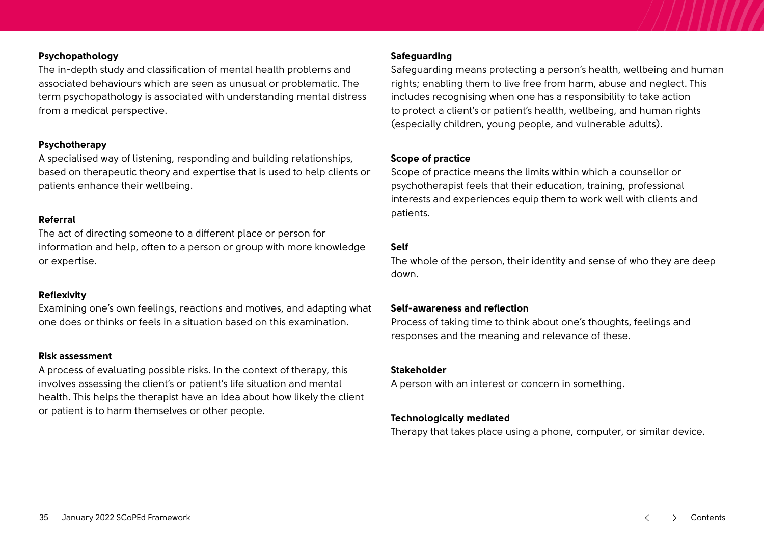#### **Psychopathology**

The in-depth study and classification of mental health problems and associated behaviours which are seen as unusual or problematic. The term psychopathology is associated with understanding mental distress from a medical perspective.

#### **Psychotherapy**

A specialised way of listening, responding and building relationships, based on therapeutic theory and expertise that is used to help clients or patients enhance their wellbeing.

#### **Referral**

The act of directing someone to a different place or person for information and help, often to a person or group with more knowledge or expertise.

#### **Reflexivity**

Examining one's own feelings, reactions and motives, and adapting what one does or thinks or feels in a situation based on this examination.

#### **Risk assessment**

A process of evaluating possible risks. In the context of therapy, this involves assessing the client's or patient's life situation and mental health. This helps the therapist have an idea about how likely the client or patient is to harm themselves or other people.

#### **Safeguarding**

Safeguarding means protecting a person's health, wellbeing and human rights; enabling them to live free from harm, abuse and neglect. This includes recognising when one has a responsibility to take action to protect a client's or patient's health, wellbeing, and human rights (especially children, young people, and vulnerable adults).

#### **Scope of practice**

Scope of practice means the limits within which a counsellor or psychotherapist feels that their education, training, professional interests and experiences equip them to work well with clients and patients.

#### **Self**

The whole of the person, their identity and sense of who they are deep down.

#### **Self-awareness and reflection**

Process of taking time to think about one's thoughts, feelings and responses and the meaning and relevance of these.

#### **Stakeholder**

A person with an interest or concern in something.

#### **Technologically mediated**

Therapy that takes place using a phone, computer, or similar device.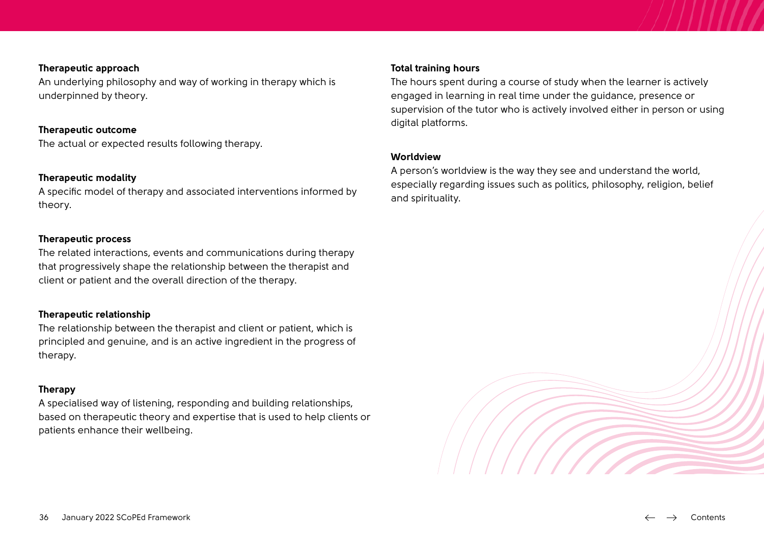### **Therapeutic approach**

An underlying philosophy and way of working in therapy which is underpinned by theory.

#### **Therapeutic outcome**

The actual or expected results following therapy.

#### **Therapeutic modality**

A specific model of therapy and associated interventions informed by theory.

#### **Therapeutic process**

The related interactions, events and communications during therapy that progressively shape the relationship between the therapist and client or patient and the overall direction of the therapy.

#### **Therapeutic relationship**

The relationship between the therapist and client or patient, which is principled and genuine, and is an active ingredient in the progress of therapy.

#### **Therapy**

A specialised way of listening, responding and building relationships, based on therapeutic theory and expertise that is used to help clients or patients enhance their wellbeing.

#### **Total training hours**

The hours spent during a course of study when the learner is actively engaged in learning in real time under the guidance, presence or supervision of the tutor who is actively involved either in person or using digital platforms.

#### **Worldview**

A person's worldview is the way they see and understand the world, especially regarding issues such as politics, philosophy, religion, belief and spirituality.